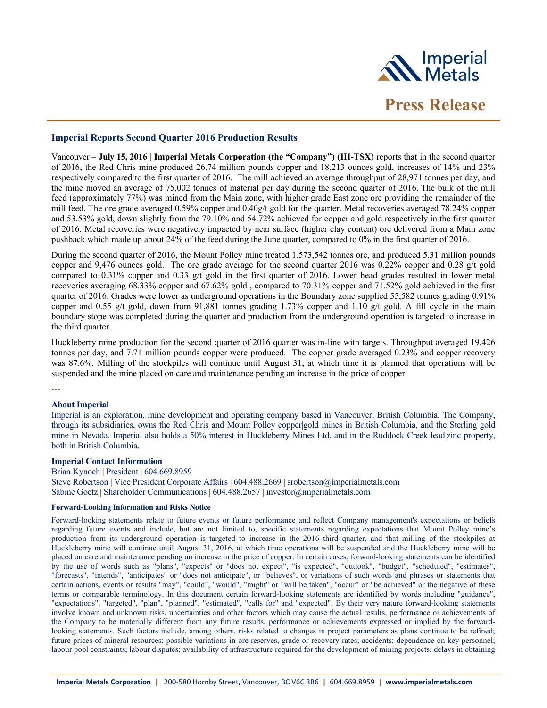

## **Imperial Reports Second Quarter 2016 Production Results**

Vancouver – **July 15, 2016 | Imperial Metals Corporation (the "Company") (III-TSX)** reports that in the second quarter of 2016, the Red Chris mine produced 26.74 million pounds copper and 18,213 ounces gold, increases of 14% and 23% respectively compared to the first quarter of 2016. The mill achieved an average throughput of 28,971 tonnes per day, and the mine moved an average of 75,002 tonnes of material per day during the second quarter of 2016. The bulk of the mill feed (approximately 77%) was mined from the Main zone, with higher grade East zone ore providing the remainder of the mill feed. The ore grade averaged 0.59% copper and 0.40g/t gold for the quarter. Metal recoveries averaged 78.24% copper and 53.53% gold, down slightly from the 79.10% and 54.72% achieved for copper and gold respectively in the first quarter of 2016. Metal recoveries were negatively impacted by near surface (higher clay content) ore delivered from a Main zone pushback which made up about 24% of the feed during the June quarter, compared to 0% in the first quarter of 2016.

During the second quarter of 2016, the Mount Polley mine treated 1,573,542 tonnes ore, and produced 5.31 million pounds copper and 9,476 ounces gold. The ore grade average for the second quarter 2016 was 0.22% copper and 0.28 g/t gold compared to  $0.31\%$  copper and  $0.33$  g/t gold in the first quarter of 2016. Lower head grades resulted in lower metal recoveries averaging 68.33% copper and 67.62% gold , compared to 70.31% copper and 71.52% gold achieved in the first quarter of 2016. Grades were lower as underground operations in the Boundary zone supplied 55,582 tonnes grading 0.91% copper and 0.55 g/t gold, down from 91,881 tonnes grading 1.73% copper and 1.10 g/t gold. A fill cycle in the main boundary stope was completed during the quarter and production from the underground operation is targeted to increase in the third quarter.

Huckleberry mine production for the second quarter of 2016 quarter was in-line with targets. Throughput averaged 19,426 tonnes per day, and 7.71 million pounds copper were produced. The copper grade averaged 0.23% and copper recovery was 87.6%. Milling of the stockpiles will continue until August 31, at which time it is planned that operations will be suspended and the mine placed on care and maintenance pending an increase in the price of copper.

---

## **About Imperial**

Imperial is an exploration, mine development and operating company based in Vancouver, British Columbia. The Company, through its subsidiaries, owns the Red Chris and Mount Polley copper|gold mines in British Columbia, and the Sterling gold mine in Nevada. Imperial also holds a 50% interest in Huckleberry Mines Ltd. and in the Ruddock Creek lead|zinc property, both in British Columbia.

## **Imperial Contact Information**

Brian Kynoch **|** President **|** 604.669.8959 Steve Robertson **|** Vice President Corporate Affairs **|** 604.488.2669 **|** srobertson@imperialmetals.com Sabine Goetz **|** Shareholder Communications **|** 604.488.2657 **|** investor@imperialmetals.com

## **Forward-Looking Information and Risks Notice**

Forward-looking statements relate to future events or future performance and reflect Company management's expectations or beliefs regarding future events and include, but are not limited to, specific statements regarding expectations that Mount Polley mine's production from its underground operation is targeted to increase in the 2016 third quarter, and that milling of the stockpiles at Huckleberry mine will continue until August 31, 2016, at which time operations will be suspended and the Huckleberry mine will be placed on care and maintenance pending an increase in the price of copper. In certain cases, forward-looking statements can be identified by the use of words such as "plans", "expects" or "does not expect", "is expected", "outlook", "budget", "scheduled", "estimates", "forecasts", "intends", "anticipates" or "does not anticipate", or "believes", or variations of such words and phrases or statements that certain actions, events or results "may", "could", "would", "might" or "will be taken", "occur" or "be achieved" or the negative of these terms or comparable terminology. In this document certain forward-looking statements are identified by words including "guidance", "expectations", "targeted", "plan", "planned", "estimated", "calls for" and "expected". By their very nature forward-looking statements involve known and unknown risks, uncertainties and other factors which may cause the actual results, performance or achievements of the Company to be materially different from any future results, performance or achievements expressed or implied by the forwardlooking statements. Such factors include, among others, risks related to changes in project parameters as plans continue to be refined; future prices of mineral resources; possible variations in ore reserves, grade or recovery rates; accidents; dependence on key personnel; labour pool constraints; labour disputes; availability of infrastructure required for the development of mining projects; delays in obtaining